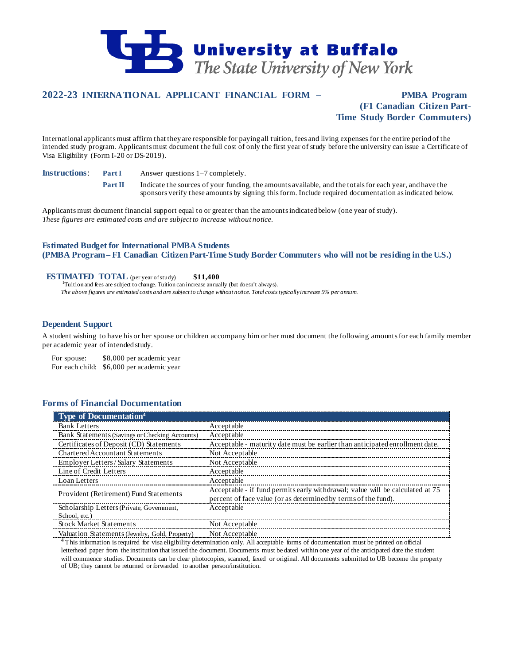

# **2022-23 INTERNATIONAL APPLICANT FINANCIAL FORM – PMBA Program**

# **(F1 Canadian Citizen Part-Time Study Border Commuters)**

International applicants must affirm that they are responsible for paying all tuition, fees and living expenses for the entire period of the intended study program. Applicants must document the full cost of only the first year of study before the university can issue a Certificate of Visa Eligibility (Form I-20 or DS-2019).

**Instructions: Part I** Answer questions 1–7 completely.

**Part II** Indicate the sources of your funding, the amounts available, and the totals for each year, and have the sponsors verify these amounts by signing this form. Include required documentation as indicated below.

Applicants must document financial support equal to or greater than the amounts indicated below (one year of study). *These figures are estimated costs and are subject to increase without notice.*

## **Estimated Budget for International PMBA Students (PMBA Program – F1 Canadian CitizenPart-Time Study Border Commuters who will not be residing in the U.S.)**

## **ESTIMATED TOTAL** (per year of study) \$11,400

<sup>1</sup>Tuition and fees are subject to change. Tuition can increase annually (but doesn't always). *The above figures are estimated costs and are subject to change without notice. Total costs typically increase 5% per annum.*

## **Dependent Support**

A student wishing to have his or her spouse or children accompany him or her must document the following amounts for each family member per academic year of intended study.

For spouse: \$8,000 per academic year For each child: \$6,000 per academic year

## **Forms of Financial Documentation**

| <b>Type of Documentation</b> <sup>4</sup>      |                                                                                                                                                 |
|------------------------------------------------|-------------------------------------------------------------------------------------------------------------------------------------------------|
| <b>Bank Letters</b>                            | Acceptable                                                                                                                                      |
| Bank Statements (Savings or Checking Accounts) | Acceptable                                                                                                                                      |
| Certificates of Deposit (CD) Statements        | Acceptable - maturity date must be earlier than anticipated enrollment date.                                                                    |
| Chartered Accountant Statements                | Not Acceptable                                                                                                                                  |
| <b>Employer Letters/Salary Statements</b>      | Not Acceptable                                                                                                                                  |
| Line of Credit Letters                         | Acceptable                                                                                                                                      |
| Loan Letters                                   | Acceptable                                                                                                                                      |
| Provident (Retirement) Fund Statements         | Acceptable - if fund permits early withdrawal; value will be calculated at 75<br>percent of face value (or as determined by terms of the fund). |
| Scholarship Letters (Private, Government,      | Acceptable                                                                                                                                      |
| School, etc.)                                  |                                                                                                                                                 |
| <b>Stock Market Statements</b>                 | Not Acceptable                                                                                                                                  |
| Valuation Statements (Jewelry, Gold, Property) | Not Acceptable                                                                                                                                  |

<sup>4</sup> This information is required for visa eligibility determination only. All acceptable forms of documentation must be printed on official letterhead paper from the institution that issued the document. Documents must be dated within one year of the anticipated date the student will commence studies. Documents can be clear photocopies, scanned, faxed or original. All documents submitted to UB become the property of UB; they cannot be returned or forwarded to another person/institution.